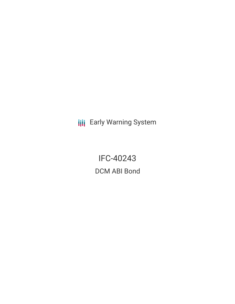**III** Early Warning System

IFC-40243 DCM ABI Bond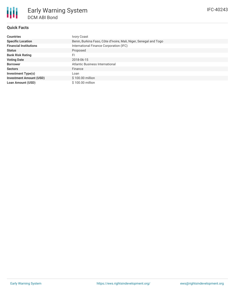# **Quick Facts**

| <b>Countries</b>               | <b>Ivory Coast</b>                                                |  |  |  |
|--------------------------------|-------------------------------------------------------------------|--|--|--|
| <b>Specific Location</b>       | Benin, Burkina Faso, Côte d'Ivoire, Mali, Niger, Senegal and Togo |  |  |  |
| <b>Financial Institutions</b>  | International Finance Corporation (IFC)                           |  |  |  |
| <b>Status</b>                  | Proposed                                                          |  |  |  |
| <b>Bank Risk Rating</b>        | FI                                                                |  |  |  |
| <b>Voting Date</b>             | 2018-06-15                                                        |  |  |  |
| <b>Borrower</b>                | Atlantic Business International                                   |  |  |  |
| <b>Sectors</b>                 | Finance                                                           |  |  |  |
| <b>Investment Type(s)</b>      | Loan                                                              |  |  |  |
| <b>Investment Amount (USD)</b> | \$100.00 million                                                  |  |  |  |
| <b>Loan Amount (USD)</b>       | \$100.00 million                                                  |  |  |  |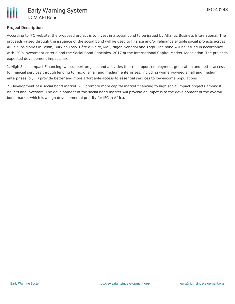## **Project Description**

According to IFC website, the proposed project is to invest in a social bond to be issued by Atlantic Business International. The proceeds raised through the issuance of the social bond will be used to finance and/or refinance eligible social projects across ABI's subsidiaries in Benin, Burkina Faso, Côte d'Ivoire, Mali, Niger, Senegal and Togo. The bond will be issued in accordance with IFC's investment criteria and the Social Bond Principles, 2017 of the International Capital Market Association. The project's expected development impacts are:

1. High Social Impact Financing: will support projects and activities that (i) support employment generation and better access to financial services through lending to micro, small and medium enterprises, including women-owned small and medium enterprises, or, (ii) provide better and more affordable access to essential services to low-income populations

2. Development of a social bond market: will promote more capital market financing to high social impact projects amongst issuers and investors. The development of the social bond market will provide an impetus to the development of the overall bond market which is a high developmental priority for IFC in Africa.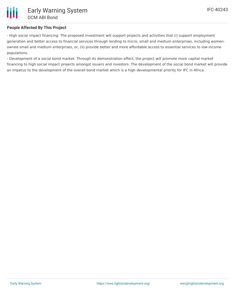## **People Affected By This Project**

- High social impact financing: The proposed investment will support projects and activities that (i) support employment generation and better access to financial services through lending to micro, small and medium enterprises, including womenowned small and medium enterprises, or, (ii) provide better and more affordable access to essential services to low-income populations.

- Development of a social bond market: Through its demonstration effect, the project will promote more capital market financing to high social impact projects amongst issuers and investors. The development of the social bond market will provide an impetus to the development of the overall bond market which is a high developmental priority for IFC in Africa.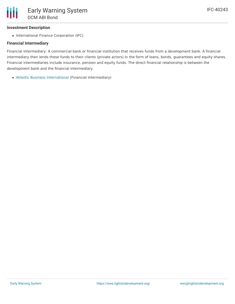### **Investment Description**

• International Finance Corporation (IFC)

### **Financial Intermediary**

Financial Intermediary: A commercial bank or financial institution that receives funds from a development bank. A financial intermediary then lends these funds to their clients (private actors) in the form of loans, bonds, guarantees and equity shares. Financial intermediaries include insurance, pension and equity funds. The direct financial relationship is between the development bank and the financial intermediary.

Atlantic Business [International](file:///actor/1115/) (Financial Intermediary)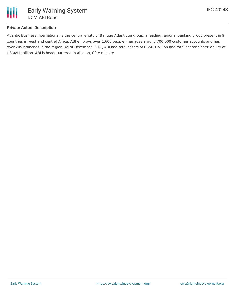

### **Private Actors Description**

Atlantic Business International is the central entity of Banque Atlantique group, a leading regional banking group present in 9 countries in west and central Africa. ABI employs over 1,600 people, manages around 700,000 customer accounts and has over 205 branches in the region. As of December 2017, ABI had total assets of US\$6.1 billion and total shareholders' equity of US\$491 million. ABI is headquartered in Abidjan, Côte d'Ivoire.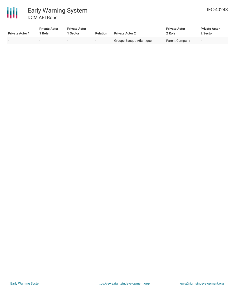

| <b>Private Actor 1</b> | <b>Private Actor</b><br>Role | <b>Private Actor</b><br>Sector | <b>Relation</b>          | <b>Private Actor 2</b>   | <b>Private Actor</b><br>2 Role | <b>Private Actor</b><br>2 Sector |
|------------------------|------------------------------|--------------------------------|--------------------------|--------------------------|--------------------------------|----------------------------------|
|                        | $\sim$                       |                                | $\overline{\phantom{a}}$ | Groupe Banque Atlantique | Parent Company                 | $-$                              |